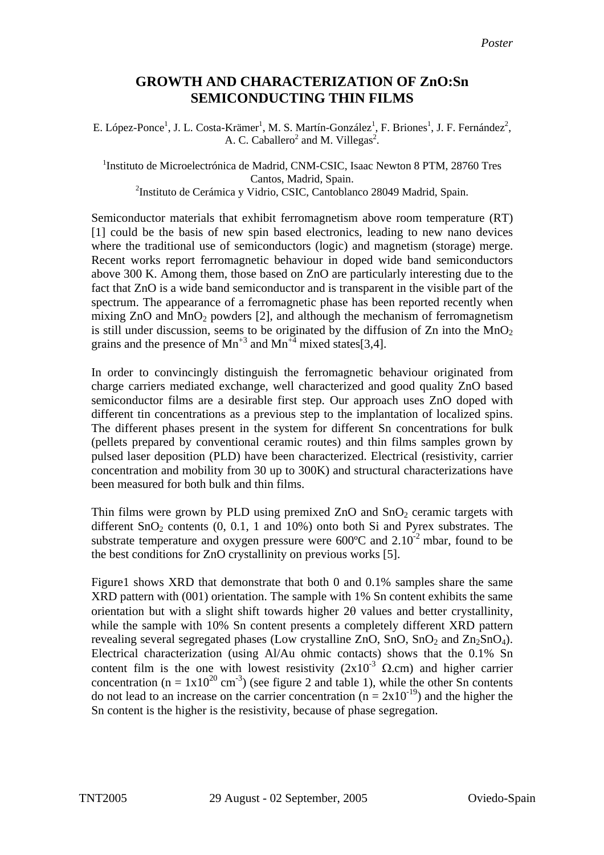## **GROWTH AND CHARACTERIZATION OF ZnO:Sn SEMICONDUCTING THIN FILMS**

E. López-Ponce<sup>1</sup>, J. L. Costa-Krämer<sup>1</sup>, M. S. Martín-González<sup>1</sup>, F. Briones<sup>1</sup>, J. F. Fernández<sup>2</sup>, A. C. Caballero<sup>2</sup> and M. Villegas<sup>2</sup>.

<sup>1</sup>Instituto de Microelectrónica de Madrid, CNM-CSIC, Isaac Newton 8 PTM, 28760 Tres Cantos, Madrid, Spain. <sup>2</sup>Instituto de Cerámica y Vidrio, CSIC, Cantoblanco 28049 Madrid, Spain.

Semiconductor materials that exhibit ferromagnetism above room temperature (RT) [1] could be the basis of new spin based electronics, leading to new nano devices where the traditional use of semiconductors (logic) and magnetism (storage) merge. Recent works report ferromagnetic behaviour in doped wide band semiconductors above 300 K. Among them, those based on ZnO are particularly interesting due to the fact that ZnO is a wide band semiconductor and is transparent in the visible part of the spectrum. The appearance of a ferromagnetic phase has been reported recently when mixing  $ZnO$  and  $MnO<sub>2</sub>$  powders [2], and although the mechanism of ferromagnetism is still under discussion, seems to be originated by the diffusion of  $Zn$  into the MnO<sub>2</sub> grains and the presence of  $Mn^{+3}$  and  $Mn^{+4}$  mixed states[3,4].

In order to convincingly distinguish the ferromagnetic behaviour originated from charge carriers mediated exchange, well characterized and good quality ZnO based semiconductor films are a desirable first step. Our approach uses ZnO doped with different tin concentrations as a previous step to the implantation of localized spins. The different phases present in the system for different Sn concentrations for bulk (pellets prepared by conventional ceramic routes) and thin films samples grown by pulsed laser deposition (PLD) have been characterized. Electrical (resistivity, carrier concentration and mobility from 30 up to 300K) and structural characterizations have been measured for both bulk and thin films.

Thin films were grown by PLD using premixed  $ZnO$  and  $SnO<sub>2</sub>$  ceramic targets with different  $SnO<sub>2</sub>$  contents  $(0, 0.1, 1, 1.004)$  onto both Si and Pyrex substrates. The substrate temperature and oxygen pressure were  $600^{\circ}$ C and  $2.10^{-2}$  mbar, found to be the best conditions for ZnO crystallinity on previous works [5].

Figure1 shows XRD that demonstrate that both 0 and 0.1% samples share the same XRD pattern with (001) orientation. The sample with 1% Sn content exhibits the same orientation but with a slight shift towards higher 2θ values and better crystallinity, while the sample with 10% Sn content presents a completely different XRD pattern revealing several segregated phases (Low crystalline ZnO,  $SnO$ ,  $SnO<sub>2</sub>$  and  $Zn<sub>2</sub>SnO<sub>4</sub>$ ). Electrical characterization (using Al/Au ohmic contacts) shows that the 0.1% Sn content film is the one with lowest resistivity  $(2x10^{-3} \Omega$ .cm) and higher carrier concentration (n =  $1x10^{20}$  cm<sup>-3</sup>) (see figure 2 and table 1), while the other Sn contents do not lead to an increase on the carrier concentration  $(n = 2x10^{-19})$  and the higher the Sn content is the higher is the resistivity, because of phase segregation.